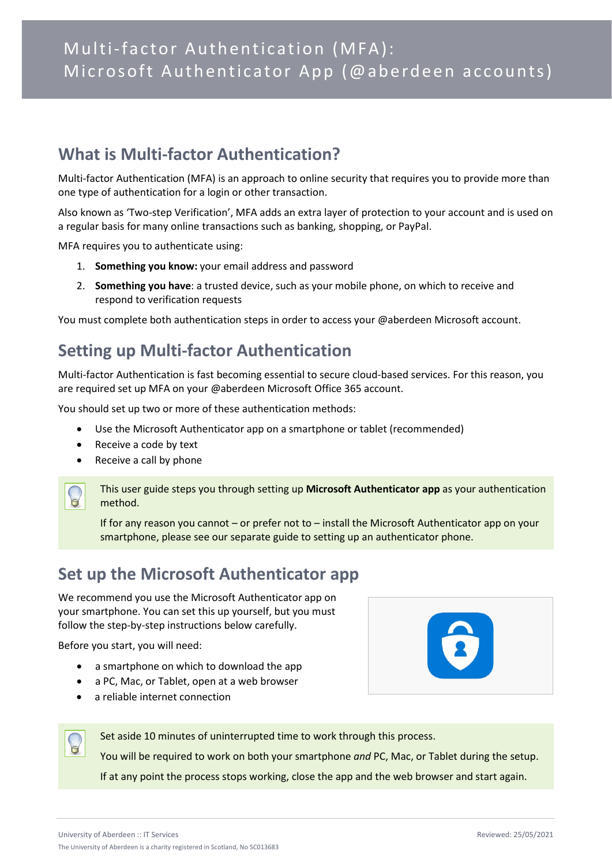### **What is Multi-factor Authentication?**

Multi-factor Authentication (MFA) is an approach to online security that requires you to provide more than one type of authentication for a login or other transaction.

Also known as 'Two-step Verification', MFA adds an extra layer of protection to your account and is used on a regular basis for many online transactions such as banking, shopping, or PayPal.

MFA requires you to authenticate using:

- 1. **Something you know:** your email address and password
- 2. **Something you have**: a trusted device, such as your mobile phone, on which to receive and respond to verification requests

You must complete both authentication steps in order to access your @aberdeen Microsoft account.

# **Setting up Multi-factor Authentication**

Multi-factor Authentication is fast becoming essential to secure cloud-based services. For this reason, you are required set up MFA on your @aberdeen Microsoft Office 365 account.

You should set up two or more of these authentication methods:

- Use the Microsoft Authenticator app on a smartphone or tablet (recommended)
- Receive a code by text
- Receive a call by phone



This user guide steps you through setting up **Microsoft Authenticator app** as your authentication method.

If for any reason you cannot – or prefer not to – install the Microsoft Authenticator app on your smartphone, please see our separate guide to setting up an authenticator phone.

# **Set up the Microsoft Authenticator app**

We recommend you use the Microsoft Authenticator app on your smartphone. You can set this up yourself, but you must follow the step-by-step instructions below carefully.

Before you start, you will need:

- a smartphone on which to download the app
- a PC, Mac, or Tablet, open at a web browser
- a reliable internet connection



Set aside 10 minutes of uninterrupted time to work through this process.

You will be required to work on both your smartphone *and* PC, Mac, or Tablet during the setup. If at any point the process stops working, close the app and the web browser and start again.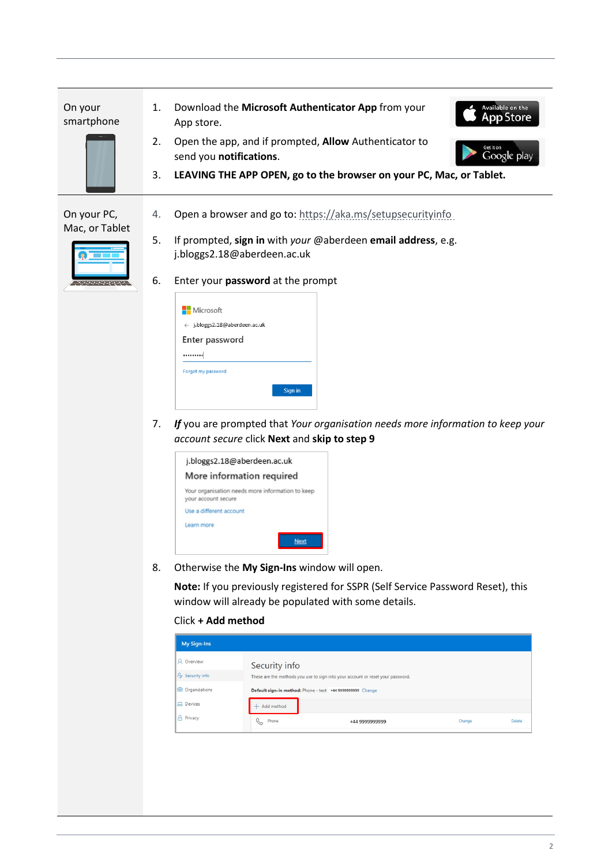On your smartphone



- 1. Download the **Microsoft Authenticator App** from your App store.
- 2. Open the app, and if prompted, **Allow** Authenticator to send you **notifications**.
- 3. **LEAVING THE APP OPEN, go to the browser on your PC, Mac, or Tablet.**

Available on the **App Store** 

Google play

#### On your PC, Mac, or Tablet



- 4. Open a browser and go to:<https://aka.ms/setupsecurityinfo>
- 5. If prompted, **sign in** with *your* @aberdeen **email address**, e.g. j.bloggs2.18@aberdeen.ac.uk
- 6. Enter your **password** at the prompt

| Enter password<br> |  |
|--------------------|--|
|--------------------|--|

7. *If* you are prompted that *Your organisation needs more information to keep your account secure* click **Next** and **skip to step 9**



8. Otherwise the **My Sign-Ins** window will open.

**Note:** If you previously registered for SSPR (Self Service Password Reset), this window will already be populated with some details.

#### Click **+ Add method**

| Add method             |                |                                                                                                                                               |        |
|------------------------|----------------|-----------------------------------------------------------------------------------------------------------------------------------------------|--------|
| $\mathcal{C}$<br>Phone | +44 9999999999 | Change                                                                                                                                        | Delete |
|                        | Security info  | These are the methods you use to sign into your account or reset your password.<br>Default sign-in method: Phone - text +44 9999999999 Change |        |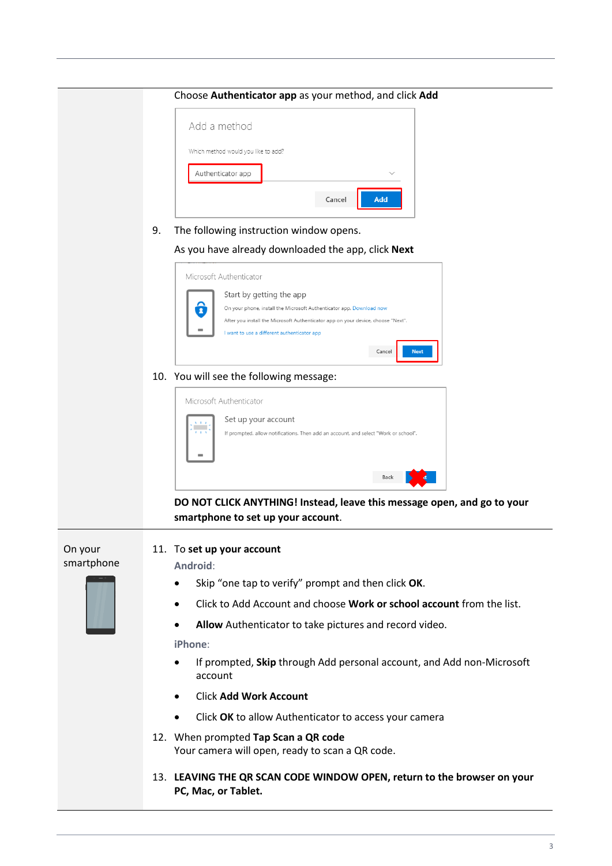|                       |    | Choose Authenticator app as your method, and click Add                                                                                                                                                                                                                                       |
|-----------------------|----|----------------------------------------------------------------------------------------------------------------------------------------------------------------------------------------------------------------------------------------------------------------------------------------------|
|                       |    | Add a method<br>Which method would you like to add?<br>Authenticator app<br>Add<br>Cancel                                                                                                                                                                                                    |
|                       | 9. | The following instruction window opens.<br>As you have already downloaded the app, click Next                                                                                                                                                                                                |
|                       |    | Microsoft Authenticator<br>Start by getting the app<br>6<br>On your phone, install the Microsoft Authenticator app. Download now<br>After you install the Microsoft Authenticator app on your device, choose "Next".<br>I want to use a different authenticator app<br>Cancel<br><b>Next</b> |
|                       |    | 10. You will see the following message:                                                                                                                                                                                                                                                      |
|                       |    | Microsoft Authenticator<br>Set up your account<br><b>CENT</b><br>If prompted, allow notifications. Then add an account, and select "Work or school".                                                                                                                                         |
|                       |    | Back                                                                                                                                                                                                                                                                                         |
|                       |    | DO NOT CLICK ANYTHING! Instead, leave this message open, and go to your<br>smartphone to set up your account.                                                                                                                                                                                |
| On your<br>smartphone |    | 11. To set up your account<br>Android:<br>Skin "one tan to verify" prompt and then click OK                                                                                                                                                                                                  |



- Skip "one tap to verify" prompt and then click **OK**.
- Click to Add Account and choose **Work or school account** from the list.
- **Allow** Authenticator to take pictures and record video.

**iPhone**:

- If prompted, **Skip** through Add personal account, and Add non-Microsoft account
- Click **Add Work Account**
- Click **OK** to allow Authenticator to access your camera
- 12. When prompted **Tap Scan a QR code** Your camera will open, ready to scan a QR code.
- 13. **LEAVING THE QR SCAN CODE WINDOW OPEN, return to the browser on your PC, Mac, or Tablet.**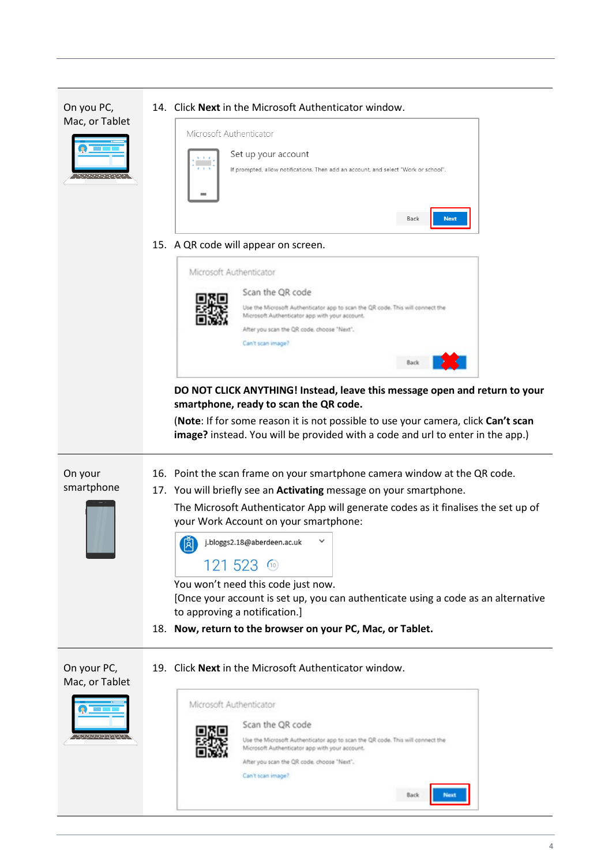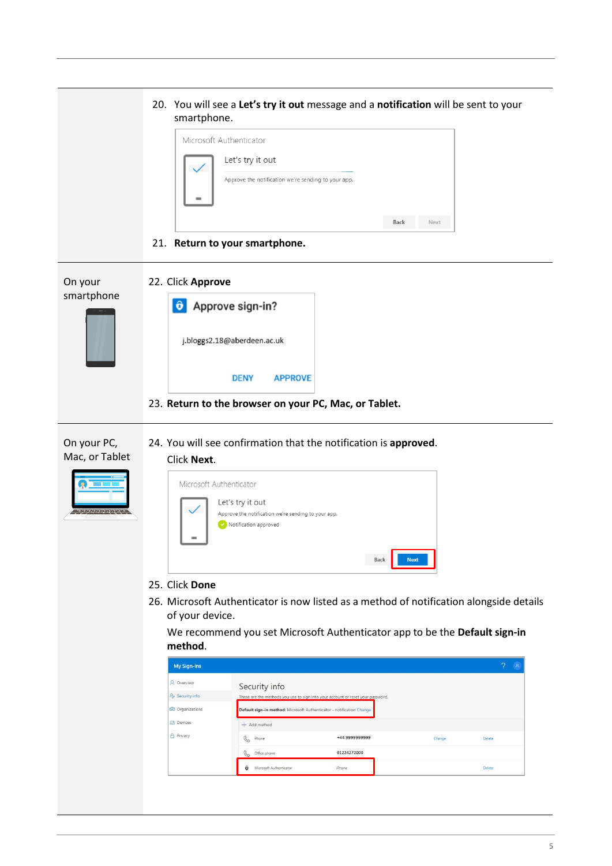|                                                            | 20. You will see a Let's try it out message and a notification will be sent to your<br>smartphone.<br>Microsoft Authenticator<br>Let's try it out<br>Approve the notification we're sending to your app.<br>Back<br>Next<br>21. Return to your smartphone.                                                                                                                                                                                                                                                                                                                                                                                                                                                                                            |
|------------------------------------------------------------|-------------------------------------------------------------------------------------------------------------------------------------------------------------------------------------------------------------------------------------------------------------------------------------------------------------------------------------------------------------------------------------------------------------------------------------------------------------------------------------------------------------------------------------------------------------------------------------------------------------------------------------------------------------------------------------------------------------------------------------------------------|
| On your<br>smartphone                                      | 22. Click Approve<br>Approve sign-in?<br>$\hat{\mathbf{o}}$<br>j.bloggs2.18@aberdeen.ac.uk<br><b>DENY</b><br><b>APPROVE</b><br>23. Return to the browser on your PC, Mac, or Tablet.                                                                                                                                                                                                                                                                                                                                                                                                                                                                                                                                                                  |
| On your PC,<br>Mac, or Tablet<br><u>a japonen mengenak</u> | 24. You will see confirmation that the notification is approved.<br>Click Next.<br>Microsoft Authenticator<br>Let's try it out<br>Approve the notification we're sending to your app.<br>Notification approved<br>Back<br><b>Next</b><br>25. Click Done<br>26. Microsoft Authenticator is now listed as a method of notification alongside details<br>of your device.<br>We recommend you set Microsoft Authenticator app to be the Default sign-in<br>method.<br>2 <sup>8</sup><br>My Sign-Ins<br><b>A</b> Overview<br>Security info<br><b>P</b> Security info<br>These are the methods you use to sign into your account or reset your password.<br><b>C</b> Organizations<br>Default sign-in method: Microsoft Authenticator - notification Change |
|                                                            | <b>二</b> Devices<br>$+$ Add method<br><b>A</b> Privacy<br>+44 9999999999<br><b>&amp;</b> Phone<br>Change<br>Delete<br>01224272000<br>Office phone<br>C<br>Microsoft Authenticator<br>iPhone<br>Delete<br>û                                                                                                                                                                                                                                                                                                                                                                                                                                                                                                                                            |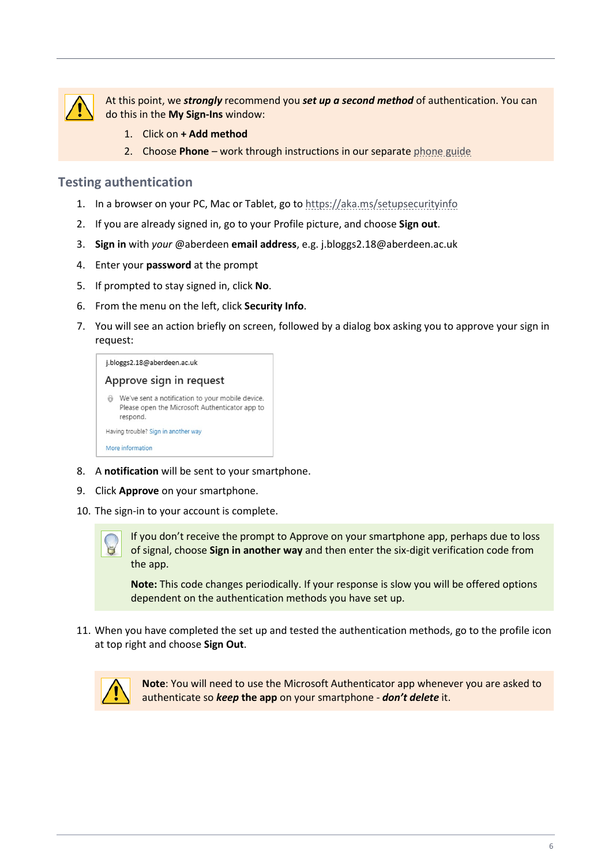

At this point, we *strongly* recommend you *set up a second method* of authentication. You can do this in the **My Sign-Ins** window:

- 1. Click on **+ Add method**
- 2. Choose **Phone** work through instructions in our separate [phone guide](https://www.abdn.ac.uk/it/documents/mfa-authenticator-phone-aberdeen.pdf)

#### **Testing authentication**

- 1. In a browser on your PC, Mac or Tablet, go to<https://aka.ms/setupsecurityinfo>
- 2. If you are already signed in, go to your Profile picture, and choose **Sign out**.
- 3. **Sign in** with *your* @aberdeen **email address**, e.g. j.bloggs2.18@aberdeen.ac.uk
- 4. Enter your **password** at the prompt
- 5. If prompted to stay signed in, click **No**.
- 6. From the menu on the left, click **Security Info**.
- 7. You will see an action briefly on screen, followed by a dialog box asking you to approve your sign in request:

| j.bloggs2.18@aberdeen.ac.uk                                                                                    |
|----------------------------------------------------------------------------------------------------------------|
| Approve sign in request                                                                                        |
| We've sent a notification to your mobile device.<br>Please open the Microsoft Authenticator app to<br>respond. |
| Having trouble? Sign in another way                                                                            |
| More information                                                                                               |

- 8. A **notification** will be sent to your smartphone.
- 9. Click **Approve** on your smartphone.
- 10. The sign-in to your account is complete.



If you don't receive the prompt to Approve on your smartphone app, perhaps due to loss of signal, choose **Sign in another way** and then enter the six-digit verification code from the app.

**Note:** This code changes periodically. If your response is slow you will be offered options dependent on the authentication methods you have set up.

11. When you have completed the set up and tested the authentication methods, go to the profile icon at top right and choose **Sign Out**.



**Note**: You will need to use the Microsoft Authenticator app whenever you are asked to authenticate so *keep* **the app** on your smartphone - *don't delete* it.